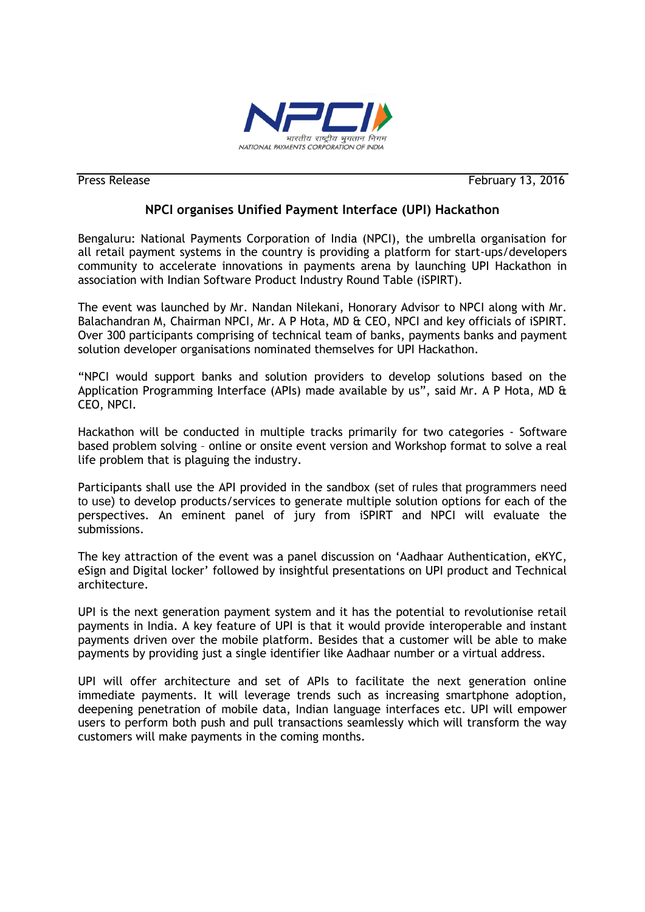

**Press Release February 13, 2016** 

## **NPCI organises Unified Payment Interface (UPI) Hackathon**

Bengaluru: National Payments Corporation of India (NPCI), the umbrella organisation for all retail payment systems in the country is providing a platform for start-ups/developers community to accelerate innovations in payments arena by launching UPI Hackathon in association with Indian Software Product Industry Round Table (iSPIRT).

The event was launched by Mr. Nandan Nilekani, Honorary Advisor to NPCI along with Mr. Balachandran M, Chairman NPCI, Mr. A P Hota, MD & CEO, NPCI and key officials of iSPIRT. Over 300 participants comprising of technical team of banks, payments banks and payment solution developer organisations nominated themselves for UPI Hackathon.

"NPCI would support banks and solution providers to develop solutions based on the Application Programming Interface (APIs) made available by us", said Mr. A P Hota, MD & CEO, NPCI.

Hackathon will be conducted in multiple tracks primarily for two categories - Software based problem solving – online or onsite event version and Workshop format to solve a real life problem that is plaguing the industry.

Participants shall use the API provided in the sandbox (set of rules that programmers need to use) to develop products/services to generate multiple solution options for each of the perspectives. An eminent panel of jury from iSPIRT and NPCI will evaluate the submissions.

The key attraction of the event was a panel discussion on "Aadhaar Authentication, eKYC, eSign and Digital locker" followed by insightful presentations on UPI product and Technical architecture.

UPI is the next generation payment system and it has the potential to revolutionise retail payments in India. A key feature of UPI is that it would provide interoperable and instant payments driven over the mobile platform. Besides that a customer will be able to make payments by providing just a single identifier like Aadhaar number or a virtual address.

UPI will offer architecture and set of APIs to facilitate the next generation online immediate payments. It will leverage trends such as increasing smartphone adoption, deepening penetration of mobile data, Indian language interfaces etc. UPI will empower users to perform both push and pull transactions seamlessly which will transform the way customers will make payments in the coming months.